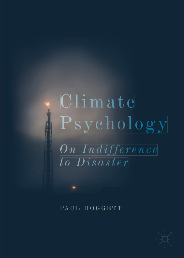# Climate Psychology

 $\overline{On}\ \ In\ \overline{d}\ \overline{if} \overline{fe}\ \overline{re}\ \overline{ne}\ \overline{e}$  $\overline{to\ Dist{a}ster}$ 

# PAUL HOGGETT

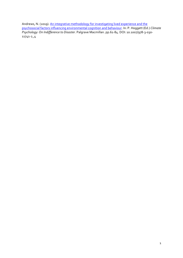Andrews, N. (2019). An integrative methodology for investigating lived experience and the psychosocial factors influencing environmental cognition and behaviour. In: P. Hoggett (Ed.) *Climate Psychology: On Indifference to Disaster*. Palgrave Macmillan. pp.61-84. DOI: 10.1007/978-3-030- 11741-2\_4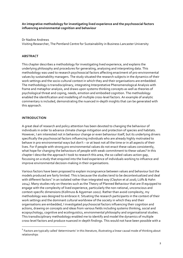An integrative methodology for investigating lived experience and the psychosocial factors **influencing environmental cognition and behaviour**

Dr Nadine Andrews Visiting Researcher, The Pentland Centre for Sustainability in Business Lancaster University

#### **ABSTRACT**

This chapter describes a methodology for investigating lived experience, and explains the underlying philosophy and procedures for generating, analysing and interpreting data. This methodology was used to research psychosocial factors affecting enactment of pro-environmental values by sustainability managers. The study situated the research subjects in the dynamics of their work settings and the socio-cultural context in which they and their organisations are embedded. The methodology is transdisciplinary, integrating Interpretative Phenomenological Analysis with frame and metaphor analysis, and draws upon systems thinking concepts as well as theories of psychological threat and coping, needs, emotion and embodied cognition. The methodology enabled the identification and modelling of multiple cross-level factors. An example of analytic commentary is included, demonstrating the nuanced in-depth insights that can be generated with this approach.

#### **INTRODUCTION**

 

A great deal of research and policy attention has been devoted to changing the behaviour of individuals in order to advance climate change mitigation and protection of species and habitats. However, I am interested not in behaviour change or even behaviour itself, but its underlying drivers specifically the psychosocial factors influencing individuals who are already highly motivated to behave in pro-environmental ways but don't – or at least not all the time or in all aspects of their lives. For if people with strong pro-environmental values do not enact these values consistently, what hope for changing the behaviours of people with weak commitment to these values? In this chapter I describe the approach I took to research this area, the so-called values-action gap, focussing on a study that enquired into the lived experience of individuals working to influence and improve environmental decision-making in their organisations.

Various factors have been proposed to explain incongruence between values and behaviour but the models produced are fairly limited. This is because the studies tend to be decontextualized and deal with different factors<sup>1</sup> in an isolated rather than integrated way (Clayton et al 2016; Lülfs & Hahn 2014). Many studies rely on theories such as the Theory of Planned Behaviour that are ill equipped to engage with the complexity of lived experience, particularly the non-rational, unconscious and context-specific dimensions (Kollmuss & Agyeman 2002). Rather than avoid complexity, my methodology was designed to embrace it. Situating the research participants in the context of their work settings and the dominant cultural worldview of the society in which they and their organisations are embedded, I investigated psychosocial factors influencing their cognition and actions, drawing on concepts and ideas from various fields including systems thinking, social and ecopsychology, cognitive and ecolinguistics, environmental philosophy and organisational studies. This transdisciplinary methodology enabled me to identify and model the dynamics of multiple cross-level factors and produce nuanced in-depth findings. This would not have been possible with a

 $1$  Factors are typically called 'determinants' in this literature, illustrating a linear causal mode of thinking about relationships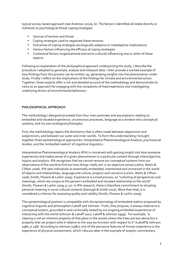typical survey-based approach (see Andrews 2017a, b). The factors I identified all relate directly or indirectly to psychological threat coping strategies:

- Sources of tension and threat
- Coping strategies used to negotiate these tensions
- Outcomes of coping strategies (ecologically adaptive or maladaptive implications)
- Various factors influencing the efficacy of coping strategies
- Contextual factors (organisational and socio-cultural) influencing one or other of these aspects

Following an explanation of the philosophical approach underpinning the study, I describe the procedure I adopted to generate, analyse and interpret data. I then provide a worked example of how findings from this process can be written up, generating insights into the phenomenon under study. Finally I reflect on the implications of the findings for climate and environmental action. Together, these aspects offer a rich and detailed account of the methodology and demonstrate its value as an approach for engaging with the complexity of lived experience and investigating underlying drivers of environmental behaviour.

# **PHILOSOPHICAL APPROACH**

The methodology I designed proceeds from four main premises and assumptions relating to: embodied and situated experience, unconscious processes, language as a window into conceptual systems, and my own ecological philosophy.

First, the methodology rejects the dichotomy that is often made between objectivism and subjectivism, and between our outer and inner worlds. To form this understanding I brought together three epistemological approaches: Interpretative Phenomenological Analysis, psychosocial studies, and the 'embodied realism' of cognitive linguistics.

Interpretative Phenomenological Analysis (IPA) is concerned with gaining insight into how someone experiences and makes sense of a given phenomenon in a particular context through intersubjective inquiry and analysis. IPA recognises that we cannot remove our conceptual systems from our observations of the world to find out how things 'really are' in an objective sense (Larkin, Watts & Clifton 2006). IPA sees individuals as essentially embedded, intertwined and immersed in the world of objects and relationships, language and culture, projects and concerns (Larkin, Watts & Clifton 2006; Smith, Flowers & Larkin 2009). Experience is a lived process, an "unfurling of perspectives and meanings, which are unique to the person's embodied and situated relationship to the world" (Smith, Flowers & Larkin 2009, p.21). In IPA research, there is therefore commitment to situating personal meaning in socio-cultural contexts (Eatough & Smith 2010). More than that, it is considered a criterion for assessing quality and validity (Smith, Flowers & Larkin 2009).

This epistemological position is compatible with the epistemology of embodied realism proposed by cognitive linguists and philosophers Lakoff and Johnson. Truth, they propose, is always relative to a conceptual system, grounded in and continually tested by our ongoing embodied experiences of interacting with the world (Johnson & Lakoff 2002; Lakoff & Johnson 1999). For example, "a clearing is not an inherent property of that place in the woods where the trees are less dense but a property that we project onto it relative to the way we function with respect to it" (Lakoff & Johnson 1980, p.158). According to Johnson (1987), one of the pervasive features of human experience is the experience of physical containment, which I discuss later in the example of analytic commentary.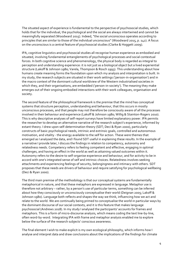The situated aspect of experience is fundamental to the perspective of psychosocial studies, which holds that for the individual, the psychological and the social are always intertwined and cannot be meaningfully separated (Woodward 2015). Indeed, "the social unconscious operates according to principles that are similar to those of the individual unconscious" (Woodward 2015, p. 142). A focus on the unconscious is a central feature of psychosocial studies (Clarke & Hoggett 2009).

IPA, cognitive linguistics and psychosocial studies all recognise human experience as embodied and situated, involving fundamental entanglements of psychological processes and social contextual forces. In both cognitive science and phenomenology, the physical body is regarded as integral to perception and understanding experience: it is not just as a biological object but a lived experiential structure (Lakoff & Johnson 1980; Varela, Thompson & Rosch 1993). This understanding about how humans create meaning forms the foundation upon which my analysis and interpretation is built. In my study, the research subjects are situated in their work settings ('person-in-organisation') and in the macro context of the dominant cultural worldview of the Western industrialised societies in which they, and their organisations, are embedded ('person-in-society'). The meaning they make emerges out of their ongoing embodied interactions with their work colleagues, organisation and society. 

The second feature of the philosophical framework is the premise that the mind has conceptual systems that structure perception, understanding and behaviour, that this occurs in mostly unconscious processes, and that people may not therefore be consciously aware of all the processes involved in their behaviour and experience (Lakoff & Johnson 1980; Willig & Stainton-Rogers 2010). This is why descriptive analyses of self-report surveys have limited explanatory power. IPA permits the researcher to develop an alternative narrative of the research subject's experience, informed by extant theory. I drew upon self-determination theory (SDT; Deci & Ryan 2000), particularly constructs of basic psychological needs, intrinsic and extrinsic goals, controlled and autonomous motivation, and vitality - the energy available to the self for action. These were themes that emerged as I analysed the data, and I found SDT useful in explaining these results. In the example of a narrative I provide later, I discuss the findings in relation to competency, autonomy and relatedness needs. Competency refers to feeling competent and effective, engaging in optimal challenges, and having an effect in the world as well as attaining valued outcomes within it. Autonomy refers to the desire to self-organise experience and behaviour, and for activity to be in accord with one's integrated sense of self and intrinsic choices. Relatedness involves seeking attachments and experiencing feelings of security, belongingness and intimacy with others. SDT proposes that these needs are drivers of behaviour and require satisfying for psychological wellbeing (Deci & Ryan 2000). 

The third main premise of the methodology is that our conceptual systems are fundamentally metaphorical in nature, and that these metaphors are expressed in language. Metaphor use is therefore not arbitrary – rather, by a person's use of particular terms, something can be inferred about how they consciously or unconsciously conceptualise their world (Deignan 2005; Lakoff & Johnson 1980). Language both reflects and shapes the way we think, influencing how we act and relate to the world. We are continually being primed to conceptualise the world in particular ways by the dominant discourse of our social contexts, and it is this feature that makes language psychosocial (Andrews 2018). In my study I analysed the participants' accounts for frames and metaphors. This is a form of micro-discourse analysis, which means coding the text line-by-line, often word-by-word. Integrating IPA with frame and metaphor analysis enabled me to explore below the surface of the research subjects' conscious awareness.

The final element I wish to make explicit is my own ecological philosophy, which informs how I analyse and interpret data and draw conclusions about the implications of the findings for climate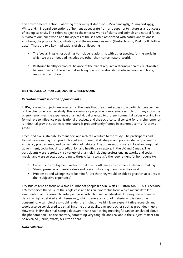and environmental action. Following others (e.g. Kidner 2001; Merchant 1983; Plumwood 1993; White 1967), I regard perceptions of humans as separate from and superior to nature as a root cause of ecological crisis. This refers not just to the external world of plants and animals and natural forces but also to our inner world and the aspects of the self often associated with nature and wildness: emotions, the physical body, intuition, and the unconscious mind (Hasbach 2012; Rust 2008; Totton 2011). There are two key implications of this philosophy:

- The 'social' in psychosocial has to include relationship with other species, for the world in which we are embedded includes the other-than human natural world.
- Restoring healthy ecological balance of the planet requires restoring a healthy relationship between parts of the self and dissolving dualistic relationships between mind and body, reason and emotion.

# **METHODOLOGY FOR CONDUCTING FIELDWORK**

#### *Recruitment and selection of participants*

In IPA, research subjects are selected on the basis that they grant access to a particular perspective on the phenomena under study: this is known as 'purposive homogenous sampling'. In my study the phenomenon was the experience of an individual oriented to pro-environmental values working in a formal role to influence organisational practices, and the socio-cultural context for this phenomenon is industrial growth societies where nature is predominantly framed in economic terms (Andrews 2018).

I recruited five sustainability managers and a chief executive to the study. The participants had formal roles ranging from production of environmental strategies and policies, delivery of energy efficiency programmes, and conservation of habitats. The organisations were in local and regional government, social housing, credit union and health care sectors, in the UK and Canada. The participants were recruited via a variety of channels including professional networks and social media, and were selected according to three criteria to satisfy the requirement for homogeneity:

- Currently in employment with a formal role to influence environmental decision-making
- Strong pro-environmental values and goals motivating them to do their work
- Propensity and willingness to be mindful (so that they would be able to give rich accounts of their subjective experience)

IPA studies tend to focus on a small number of people (Larkin, Watts & Clifton 2006). This is because IPA recognises the value of the single case and has an idiographic focus which means detailed examination of the research participant as a particular unique individual. This requires working with data in a highly detailed and intense way, which generates a lot of material and is very time consuming. A sample of six would render the findings invalid if it were quantitative research, and would also be considered too small in some other qualitative approaches such as grounded theory. However, in IPA the small sample does not mean that nothing meaningful can be concluded about the phenomenon – on the contrary, something very tangible and real about the subject-matter can be revealed (Larkin, Watts, & Clifton 2006).

#### *Data collection*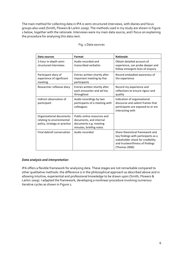The main method for collecting data in IPA is semi-structured interviews, with diaries and focus groups also used (Smith, Flowers & Larkin 2009). The methods used in my study are shown in Figure 1 below, together with the rationale. Interviews were my main data source, and I focus on explaining the procedure for analysing this data next.

| Data sources                                                                          | Format                                                                                                      | Rationale                                                                                                                                                       |
|---------------------------------------------------------------------------------------|-------------------------------------------------------------------------------------------------------------|-----------------------------------------------------------------------------------------------------------------------------------------------------------------|
| 2-hour in-depth semi-<br>structured interviews                                        | Audio recorded and<br>transcribed verbatim                                                                  | Obtain detailed account of<br>experience, can probe deeper and<br>follow emergent lines of enquiry                                                              |
| Participant diary of<br>experience of significant<br>meeting                          | Entries written shortly after<br>important meeting by five<br>participants                                  | Record embodied awareness of<br>the experience                                                                                                                  |
| Researcher reflexive diary                                                            | Entries written shortly after<br>each encounter and ad hoc<br>throughout                                    | Record my experience and<br>reflections to ensure rigour and<br>quality                                                                                         |
| Indirect observation of<br>participant                                                | Audio recordings by two<br>participants of a meeting with<br>colleagues                                     | Indication of organisational<br>discourse and salient frames that<br>participants are exposed to or are<br>interacting with                                     |
| Organisational documents<br>relating to environmental<br>policy, strategy or practice | Public online resources and<br>documents, and internal<br>documents e.g. meeting<br>minutes, briefing notes |                                                                                                                                                                 |
| Final debrief conversation                                                            | Audio recorded                                                                                              | Share theoretical framework and<br>key findings with participants as a<br>stakeholder check for credibility<br>and trustworthiness of findings<br>(Thomas 2006) |

#### Fig. 1 Data sources

#### *Data analysis and interpretation*

IPA offers a flexible framework for analysing data. These stages are not remarkable compared to other qualitative methods: the difference is in the philosophical approach as described above and in allowing intuitive, experiential and professional knowledge to be drawn upon (Smith, Flowers & Larkin 2009). I adapted the framework, developing a nonlinear procedure involving numerous iterative cycles as shown in Figure 2.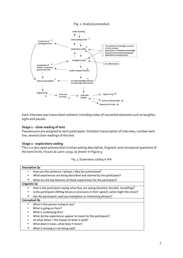



Each interview was transcribed verbatim including notes of nonverbal elements such as laughter, sighs and pauses.

#### **Stage 1 - close reading of text**

Pseudonyms are assigned to each participant. Verbatim transcription of interview, number each line, several close readings of the text.

#### **Stage 2 - exploratory coding**

This is a very open process that involves asking descriptive, linguistic and conceptual questions of the text (Smith, Flowers & Larkin 2009), as shown in Figure 3.

Fig. 3. Exploratory coding in IPA

| <b>Descriptive Qs</b> |                                                                                       |  |
|-----------------------|---------------------------------------------------------------------------------------|--|
|                       | How can this sentence / phrase / idea be summarised?                                  |  |
| ٠                     | What experiences are being described and claimed by the participant?                  |  |
|                       | What are the key features of those experiences for the participant?                   |  |
| <b>Linguistic Qs</b>  |                                                                                       |  |
|                       | How is the participant saying what they are saying (hesitant, forceful, stumbling)?   |  |
|                       | Is the participant shifting tenses or pronouns in their speech, what might this mean? |  |
|                       | Has the participant used any metaphors or interesting phrases?                        |  |
| <b>Conceptual Qs</b>  |                                                                                       |  |
|                       | What is this person trying to say?                                                    |  |
| ٠                     | What is going on here?                                                                |  |
| ٠                     | What is underlying this?                                                              |  |
|                       | What do the experiences appear to mean for the participant?                           |  |
| ٠                     | So what (what $=$ the impact of what is said)?                                        |  |
| ٠                     | What does X mean, what does Y mean?                                                   |  |
|                       | What is missing or not being said?                                                    |  |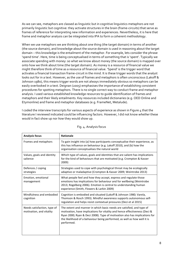As we can see, metaphors are classed as linguistic but in cognitive linguistics metaphors are not primarily linguistic but cognitive: they activate structures in the brain (frame-circuits) that serve as frames of reference for interpreting new information and experiences. Nevertheless, it is here that frame and metaphor analysis can be integrated into IPA to form a coherent methodology.

When we use metaphors we are thinking about one thing (the target domain) in terms of another (the source domain), and knowledge about the source domain is used in reasoning about the target domain – this knowledge is the entailment of the metaphor. For example, lets consider the phrase 'spend time'. Here, time is being conceptualised in terms of something that is 'spent'. Typically we associate spending with money: so what we know about money (the source domain) is mapped over onto how we think about time (the target domain). As money is a resource of financial value we might therefore think of time as a resource of financial value. 'Spend' is the trigger word that activates a financial transaction frame-circuit in the mind. It is these trigger words that the analyst looks out for in a text. However, as the use of frames and metaphors is often unconscious (Lakoff & Johnson 1980), this means trigger words are not always immediately obvious so metaphors can be easily overlooked in a text. Deignan (2005) emphasises the importance of establishing consistent procedures for spotting metaphors. There is no single correct way to conduct frame and metaphor analysis. I used various established knowledge resources to quide identification of frames and metaphors and their likely entailments. Key resources included dictionaries (e.g. OED Online and Etymonline) and frame and metaphor databases (e.g. FrameNet, Metalude).

I coded the interview transcripts for various aspects of experience as shown in Figure 4 that the literature I reviewed indicated could be influencing factors. However, I did not know whether these would in fact show up nor *how* they would show up.

| <b>Analysis focus</b>                                   | <b>Rationale</b>                                                                                                                                                                                                                                                                                                            |
|---------------------------------------------------------|-----------------------------------------------------------------------------------------------------------------------------------------------------------------------------------------------------------------------------------------------------------------------------------------------------------------------------|
| Frames and metaphors                                    | To gain insight into (a) how participants conceptualise their experience, as<br>this has influence on behaviour (e.g. Lakoff 2010), and (b) how the<br>organisation conceptualises the natural world                                                                                                                        |
| Values, goals and identity<br>salience                  | Which type of values, goals and identities that are salient has implications<br>for the kind of behaviours that are motivated (e.g. Crompton & Kasser<br>2009)                                                                                                                                                              |
| Defences / coping<br>strategies                         | Strategies used to cope with psychological threat may be ecologically<br>adaptive or maladaptive (Crompton & Kasser 2009; Weintrobe 2013)                                                                                                                                                                                   |
| Emotion, emotional<br>management                        | What people feel and how they accept, express and regulate those<br>emotions has implications for behaviour and for wellbeing (Weintrobe<br>2013; Rogelberg 2006). Emotion is central to understanding human<br>experience (Smith, Flowers & Larkin 2009)                                                                   |
| Mindfulness and embodied<br>cognition                   | Cognition is embodied and situated (Lakoff & Johnson 1980; Varela,<br>Thomson & Rosch 1993). Mindful awareness supports autonomous self-<br>regulation and helps resist contextual pressures (Deci et al 2015)                                                                                                              |
| Needs satisfaction, type of<br>motivation, and vitality | The extent and manner in which basic needs are satisfied, and type of<br>motivation, have implications for vitality and hence effectiveness (Deci &<br>Ryan 2000; Ryan & Deci 2008). Type of motivation also has implications for<br>the likelihood of a behaviour being performed, as well as how well it is<br>performed. |

Fig. 4. Analysis focus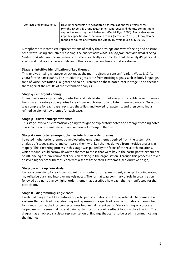| Conflicts and ambivalence | How inner conflicts are negotiated has implications for effectiveness<br>(Wright, Nyberg & Grant 2012). Inner coherence and identity commitment<br>support values-congruent behaviour (Deci & Ryan 2000). Ambivalence can |
|---------------------------|---------------------------------------------------------------------------------------------------------------------------------------------------------------------------------------------------------------------------|
|                           | impede capacities for concern and repair (Lertzman 2015), but may also be<br>tapped as source of strength and vitality (Meyerson & Scully 1995).                                                                          |

Metaphors are incomplete representations of reality that privilege one way of seeing and obscure other ways. Using abductive reasoning, the analyst asks *what is being promoted and what is being hidden, and what are the implications?* It is here, explicitly or implicitly, that the analyst's personal ecological philosophy has a significant influence on the conclusions that are drawn.

# **Stage 3 - intuitive identification of key themes**

This involved listing whatever struck me as the main 'objects of concern' (Larkin, Watts & Clifton 2006) for the participants. The intuitive insights came from noticing signals such as body language, tone of voice, hesitations, laughter and so on. I referred to these notes later in stage 6 and checked them against the results of the systematic analysis.

# **Stage 4 – emergent coding**

I then used a more systematic, controlled and deliberate form of analysis to identify salient themes from my exploratory coding notes for each page of transcript and listed them separately. Once this was complete for each case I revisited these lists and looked for patterns, and then compiled a refined version of key themes for each case.

# **Stage 5 - cluster emergent themes**

This stage involved systematically going through the exploratory notes and emergent coding notes in a second cycle of analysis and re-clustering of emerging themes.

#### **Stage 6** – re-cluster emergent themes into higher order themes

I created higher order themes by re-clustering emerging themes derived from the systematic analysis of stages  $4$  and  $5$ , and compared them with key themes derived from intuitive analysis in stage 3. This clustering process in this stage was quided by the focus of the research questions, which meant I could narrow down the themes to those that were key in the participants' experience of influencing pro-environmental decision making in the organisation. Through this process I arrived at seven higher order themes, each with a set of associated subthemes (see Andrews 2017b).

#### **Stage 7 – write up case study**

I wrote a case study for each participant using content from spreadsheet, emergent coding notes, my reflexive diary and intuitive analysis notes. The format was: summary of role in organisation followed by a narrative by higher order theme that described how each theme manifested for the participant. 

#### **Stage 8 – diagramming single cases**

I sketched diagrams of key features of participants' situations, as I interpreted it. Diagrams are a systems thinking tool for abstracting and representing aspects of complex situations in simplified form and showing the interconnectedness between different parts. Diagramming as a process helped me with sense making and gaining clarification about feedback loops in the situation. The diagram as an object is a visual representation of findings that can also be used in communicating the findings.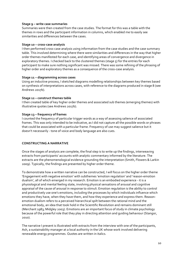#### **Stage 9 – write case summaries**

Summaries were then created from the case studies. The format for this was a table with the themes in rows and the participant information in columns, which enabled me to easily see similarities and differences between the cases.

#### Stage 10 - cross-case analysis

I then performed cross-case analysis using information from the case studies and the case summary table. This involved determining where there were similarities and differences in the way that higher order themes manifested for each case, and identifying areas of convergence and divergence in exploratory themes. I checked back to the clustered themes (stage 5) for the entries for each participant to make sure nothing significant was missed. There was some refining of the phrasing of higher order and exploratory themes as a conseguence of the cross-case analysis.

#### Stage 11 - diagramming across cases

Using an inductive process, I sketched diagrams modelling relationships between key themes based on synthesis of interpretations across cases, with reference to the diagrams produced in stage 8 (see Andrews 2017b).

#### **Stage 12 - construct themes table**

I then created table of key higher order themes and associated sub themes (emerging themes) with illustrative quotes (see Andrews 2017b).

#### Stage 13 – frequency of frames

I counted the frequency of particular trigger words as a way of assessing salience of associated frames. This was only intended to be indicative, as I did not capture all the possible words or phrases that could be associated with a particular frame. Frequency of use may suggest salience but it doesn't necessarily - tone of voice and body language are also cues.

#### **CONSTRUCTING A NARRATIVE**

Once the stages of analysis are complete, the final step is to write up the findings, interweaving extracts from participants' accounts with analytic commentary informed by the literature. The extracts are the phenomenological evidence grounding the interpretation (Smith, Flowers & Larkin 2009). Typically, the findings are presented by higher order theme.

To demonstrate how a written narrative can be constructed, I will focus on the higher order theme 'Engagement with negative emotion' with subthemes 'emotion regulation' and 'reason-emotion dualism', all of which emerged in my research. Emotion is an embodied experience - it is a physiological and mental feeling state, involving physical sensations of arousal and cognitive appraisal of the cause of arousal in response to stimuli. Emotion regulation is the ability to control and productively use one's emotions, including the processes by which individuals influence which emotions they have, when they have them, and how they experience and express them. Reasonemotion dualism refers to a perceived hierarchical spilt between the rational mind and the emotional body, an idea that took hold in the Scientific Revolution and remains dominant still (Merchant 1983; Midgley 2003). Emotions are an important focus of study in climate psychology because of the powerful role that they play in directing attention and quiding behaviour (Stangor, 2010). 

The narrative I present is illustrated with extracts from the interview with one of the participants, Ash, a sustainability manager at a local authority in the UK whose work involved delivering renewable energy programmes. Quotes are written in italics.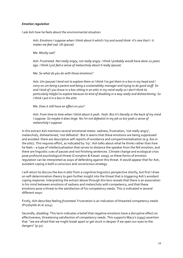#### *Emotion regulation*

I ask Ash how he feels about the environmental situation:

Ash: *Emotions I suppose when I think about it which I try and avoid think-it's rare that I-it* makes me feel sad. Uh (pause)

Me: *Mostly sad?* 

Ash: *Frustrated.* Not really anary, not really anary. I think I probably would have done 20 years *ago. I think I just feel a sense of melancholy about it really (pause)*

Me: So what do you do with those emotions?

Ash: Um (pause) I tend not to explore them or I think I've got them in a box in my head and I carry on um being a parent and being a sustainability manager and trying to do good stuff. So and I kind of I you know in a box sitting in an attic in my mind really so I don't think its particularly helpful to explore because its kind of disabling in a way really and disheartening. So *I* think *I* put it in a box in the attic

Me: Does it still have an effect on you?

Ash: From time to time when I think about it yeah. Yeah. But it's literally in the back of my mind *I* suppose. So maybe it does tinge. No I'm not defeatist in my job so but yeah a sense of *melancholy I suppose*

In this extract Ash mentions several emotional states: sadness, frustration, 'not really angry', melancholy, disheartened, 'not defeatist'. But it seems that these emotions are being suppressed and avoided: there are descriptive self-reports of avoidance and compartmentalisation (e.g. *box in the attic*). This requires effort, as indicated by 'try'. Ash talks about what he thinks rather than how he feels – a type of intellectualisation that serves to distance the speaker from the felt emotion, and there are linguistic cues of pauses and not finishing sentences. Climate change and ecological crisis pose profound psychological threat (Crompton & Kasser 2009), so these forms of emotion regulation can be interpreted as ways of defending against this threat. It would appear that for Ash, avoidant coping is both a conscious and unconscious strategy.

I will return to discuss the *box in attic* from a cognitive linguistics perspective shortly, but first I draw on self-determination theory to gain further insight into the threat that is triggering Ash's avoidant coping response. Interpreting the extract above through this lens reveals that there is an association in his mind between emotions of sadness and melancholy with competency, and that these emotions pose a threat to the satisfaction of his competency needs. This is indicated in several different ways:

Firstly, Ash describes feeling *frustrated*. Frustration is an indication of thwarted competency needs (Pryzbylski et al 2014).

Secondly, *disabling*. This term indicates a belief that negative emotions have a disruptive effect on effectiveness, threatening satisfaction of competency needs. This supports Macy's (1993) assertion that "we are afraid that we might break apart or get stuck in despair if we open our eyes to the dangers" (p.31).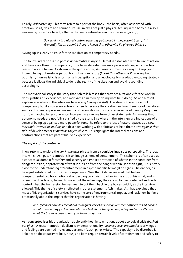Thirdly, *disheartening*. This term refers to a part of the body - the heart, often associated with emotion, spirit, desire and courage. Its use invokes not just a physical feeling in the body but also a weakening of resolve to act, a theme that recurs elsewhere in the interview (*give up*):

> *So certainly in a global context generally put myself in the pessimist camp* [...] Generally I'm an optimist though, I need that otherwise I'd give up I think, so

'Giving up' is clearly an issue for the satisfaction of competency needs..

The fourth indication is the phrase *not defeatist in my job*. Defeat is associated with failure of action, and hence is a threat to competency. The term 'defeatist' means a person who expects or is too ready to accept failure. As shown in the quote above, Ash uses optimism as a way to keep going. Indeed, being optimistic is part of his motivational story (*I need that otherwise I'd give up*) but optimism, if unrealistic, is a form of self-deception and an ecologically maladaptive coping strategy because it allows the individual to deny the reality of the situation and avoid responding accordingly.

The motivational story is the story that Ash tells himself that provides a rationale for the work he does, justifies his experience, and motivates him to keep doing what he is doing. As Ash himself explains elsewhere in the interview he is *trying to do good stuff*. The story is therefore about competency but it also serves autonomy needs because the creation and maintenance of narratives such as this creates personal meaning and reconciles inconsistencies in sense of identity (Vignoles 2011), enhancing inner coherence. However, we can see from other statements Ash makes that autonomy needs are not fully satisfied by the story. Elsewhere in the interview are indications of a sense of being up against a more powerful force: he refers to the loss of natural spaces as a *slow inevitable irreversible decline*, and describes working with politicians to help them swim against that *tide* (of development) as *much* as they're able to. This highlights the internal tensions and contradictions that are part of his lived experience.

# **The safety of the container**

I now return to explore the *box in the attic* phrase from a cognitive linguistics perspective. The 'box' into which Ash puts his emotions is an image schema of containment. This schema is often used as a conceptual domain for safety and security and implies protection of what is in the container from dangers outside, or protection of what is outside from the danger within (Johnson 1987). This is very close to the understanding of 'containment' in psychoanalytic terms (Bion 1962). The danger, as I have just established, is thwarted competency. Now that Ash has realized that he has compartmentalized his emotions about ecological crisis into a box in the attic of his mind, and is opening up this box by talking to me about these feelings, they are no longer contained and under control. I had the impression he was keen to put them back in the box as quickly as the interview allowed. This theme of safety is reflected in other statements Ash makes. Ash has explained that most of his organisation's services have some sort of environmental impact, and I ask how he feels emotionally about the impact that his organisation is having:

Ash: (silence) how do I feel about it (in quiet voice) as local government officers it's all bashed *out* of us in our day job because what we feel about things is completely irrelevant it's about what the business case *is, and you know pragmatic* 

Ash conceptualises his organisation as violently hostile to emotions about ecological crisis (bashed *out* of us). A reason-emotion dualism is evident: rationality (business case, pragmatic) is privileged and feelings are deemed irrelevant. Lertzman (2015, p.33) writes, "The capacity to be disturbed is linked with the capacity to be curious, and both require certain levels of containment and safety to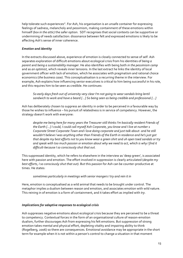help tolerate such experiences". For Ash, his organisation is an unsafe container for expressing feelings of sadness, melancholy and pessimism, making containment of these emotions within himself (box in the attic) the safer option. SDT recognises that social contexts can be supportive or undermining of needs satisfaction: dissonance between felt and expressed emotions is likely to be affecting Ash's sense of inner coherence.

# *Emotion and identity*

In the extracts discussed above, experience of emotion is closely connected to sense of self. Ash separates exploration of difficult emotions about ecological crisis from his identities of *being a parent* and *being a sustainability manager*. He also identifies with being both *in the pessimism camp* and as *an optimist*, which reveals inner tensions. In the last extract he links the identity of local government officer with lack of emotion, which he associates with pragmatism and rational choice economics (the business case). This conceptualisation is a recurring theme in the interview. For example, Ash explains how influencing senior executives is critical to him being successful in his role, and this requires him to be seen as credible. He continues:

So early days fresh out of university very clear I'm not going to wear sandals bring lentil sandwich to work and have a beard […] So being seen as being credible and professional […]

Ash has deliberately chosen to suppress an identity in order to be perceived in a favourable way by those he wishes to influence - his pursuit of relatedness is in service of competency. However, the strategy doesn't work with everyone:

despite me being here for many years the Treasurer still thinks I'm basically resident Friends of the Earth [...] I could, I could call myself Ash Corporate, you know and I live at number 1 *Corporate Street Corporate Town and I love doing corporate and just talk about- and he still* wouldn't believe I was anything other than Friends of the Earth in residence and he's just got that despite my best efforts not to you know wear a green shirt and uh open toed sandals or try and speak with too much passion or emotion about why we need to act, which is why I find it difficult-because I so consciously shut that out.

This suppressed identity, which he refers to elsewhere in the interview as 'deep green', is associated here with passion and emotion. The effort involved in suppression is clearly articulated (*despite my best efforts, I so consciously shut that out*). But this passion for Ash can be counter-productive at times. He states:

#### sometimes particularly in meetings with senior mangers I try and rein it in

Here, emotion is conceptualised as a wild animal that needs to be brought under control. The metaphor implies a dualism between reason and emotion, and associates emotion with wild nature. This reining in of emotion is a form of containment, and it takes effort as implied with *try*.

#### *Implications for adaptive responses to ecological crisis*

Ash suppresses negative emotions about ecological crisis because they are perceived to be a threat to competency. Contextual forces in the form of an organisational culture of reason-emotion dualism, further discourages Ash from expressing his felt emotions. But suppression of strong emotion takes mental and physical effort, depleting vitality and impairing ability to think (Rogelberg, 2006) so there are consequences. Emotional avoidance may be appropriate in the short term for example when it is not within a person's control to change a situation in that moment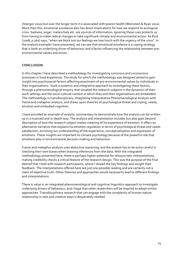(Stangor 2010) but over the longer term it is associated with poorer health (Weinstein & Ryan 2011). More than this, emotional avoidance also has direct implications for how we respond to ecological crisis. Sadness, anger, melancholy etc. are sources of information. Ignoring these cues protects us from having to make radical changes or take significant climate and environmental action. As Rust (2008, p.160) says, "when we block out our feelings we lose touch with the urgency of the crisis". In the analysis example I have presented, we can see that emotional avoidance is a coping strategy that is both an underlying driver of behaviour and a factor influencing the relationship between proenvironmental values and action.

# **CONCLUSION**

In this chapter I have described a methodology for investigating conscious and unconscious processes in lived experience. The study for which the methodology was designed aimed to gain insight into psychosocial factors affecting enactment of pro-environmental values by individuals in their organisations. I took a systemic and integrative approach to investigating these factors, through a phenomenological enguiry that situated the research subjects in the dynamics of their work settings and the socio-cultural context in which they and their organisations are embedded. The methodology is transdisciplinary, integrating Interpretative Phenomenological Analysis with frame and metaphor analysis, and draws upon theories of psychological threat and coping, needs, emotion and embodied cognition.

I have provided an example of analytic commentary to demonstrate how the analysis can be written up in a nuanced and in-depth way. The analysis and interpretation includes but also goes beyond description of how the research subject makes meaning of his experience of emotion. It offers an alternative narrative that explains his emotion regulation in terms of psychological threat and needs satisfaction, enriching our understanding of the experience, conceptualisation and expression of emotions. These insights are important to climate psychology because of the powerful role that emotions play in environmental decision-making and behaviour.

Frame and metaphor analysis uses abductive reasoning, and the analyst has to be extra careful in checking their own biases when drawing inferences from the data. With the integrated methodology presented here, there is perhaps higher potential for idiosyncratic interpretations, making credibility checks a critical feature of the research design. This was the purpose of the final debrief that I held with research participants, where I shared the key findings and sought their feedback. The interpretations offered here are just one possible reading and are certainly not a claim of objective truth. Other theories and approaches would necessarily lead to different findings and interpretations.

There is value in an integrated phenomenological and cognitive linguistics approach to investigate underlying drivers of behaviour, and I hope that other researchers will be inspired to adopt similar approaches. Transdisciplinary research that can engage with the complexity of human-nature relationship in new and creative ways is desperately needed.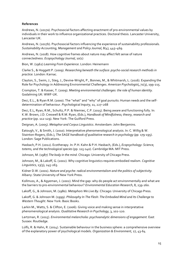#### **References**

Andrews, N. (2017a). Psychosocial factors affecting enactment of pro-environmental values by individuals in their work to influence organizational practices. Doctoral thesis. Lancaster University, Lancaster UK.

Andrews, N. (2017b). Psychosocial factors influencing the experience of sustainability professionals. *Sustainability Accounting, Management and Policy Journal*, 8(4), 445–469. 

Andrews, N. (2018). How cognitive frames about nature may affect felt sense of nature connectedness. *Ecopsychology Journal,* 10(1)

Bion, W. (1962) *Learning From Experience*. London: Heinemann

Clarke S., & Hoggett P. (2009). *Researching beneath the surface: psycho-social research methods in practice.* London: Karnac.

Clayton, S., Swim, J., Steg, J., Devine-Wright, P., Bonnes, M., & Whitmarsh, L. (2016). Expanding the Role for Psychology in Addressing Environmental Challenges. American Psychologist, 71(3), 199-215.

Crompton, T. & Kasser, T. (2009). *Meeting environmental challenges: the role of human identity.* Godalming UK: WWF-UK.

Deci, E.L., & Ryan R.M. (2000). The "what" and "why" of goal pursuits: Human needs and the selfdetermination of behaviour. Psychological Inquiry, 11, 227-268

Deci, E.L, Ryan, R.M., Schultz, P.P. & Niemiec, C.P. (2015). Being aware and functioning fully. In: K.W. Brown, J.D. Creswell & R.M. Ryan, (Eds.), *Handbook of Mindfulness; theory, research and* practice (pp. 112-129). New York: The Guilford Press.

Deignan, A. (2005). *Metaphor and Corpus Linguistics*. Amsterdam: John Benjamins.

Eatough, V., & Smith, J. (2010). Interpretative phenomenological analysis. In: C. Willig & W. Stainton-Rogers, (Eds.), The SAGE handbook of qualitative research in psychology (pp. 179-195). London: Sage Publications.

Hasbach, P.H. (2012). Ecotherapy. In: P.H. Kahn & P.H. Hasbach, (Eds.), *Ecopsychology: Science*, totems, and the technological species (pp. 115-140). Cambridge MA: MIT Press.

Johnson, M. (1987) *The body in the mind*. Chicago: University of Chicago Press.

Johnson, M., & Lakoff, G. (2002). Why cognitive linguistics requires embodied realism. *Cognitive Linguistics,* 13(3), 245-263.

Kidner D.W. (2001). Nature and psyche: radical environmentalism and the politics of subjectivity. Albany: State University of New York Press.

Kollmuss, A., & Agyeman, J. (2002). Mind the gap: why do people act environmentally and what are the barriers to pro-environmental behaviour? *Environmental Education Research*, 8, 239-260.

Lakoff, G., & Johnson, M. (1980). *Metaphors We Live By*. Chicago: University of Chicago Press.

Lakoff, G. & Johnson M. (1999). *Philosophy In The Flesh: The Embodied Mind and Its Challenge to Western Thought*. New York: Basic Books.

Larkin M., Watts, S. & Clifton, E. (2006). Giving voice and making sense in interpretative phenomenological analysis. *Qualitative Research in Psychology*, 3, 102-120.

Lertzman, R. (2015). *Environmental melancholia: psychoanalytic dimensions of engagement.* East Sussex: Routledge.

Lülfs, R. & Hahn, R. (2014). Sustainable behaviour in the business sphere: a comprehensive overview of the explanatory power of psychological models. *Organization & Environment*, 27, 43-64